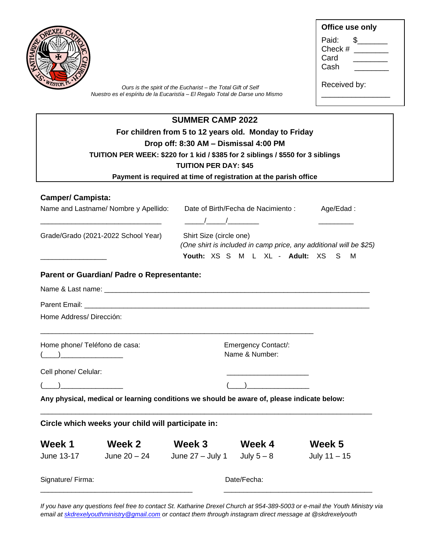| Ours is the spirit of the Eucharist - the Total Gift of Self<br>Nuestro es el espíritu de la Eucaristía - El Regalo Total de Darse uno Mismo |                                                                                            |                                       |                                                                  |                                                                    |
|----------------------------------------------------------------------------------------------------------------------------------------------|--------------------------------------------------------------------------------------------|---------------------------------------|------------------------------------------------------------------|--------------------------------------------------------------------|
|                                                                                                                                              |                                                                                            | <b>SUMMER CAMP 2022</b>               |                                                                  |                                                                    |
|                                                                                                                                              |                                                                                            |                                       | For children from 5 to 12 years old. Monday to Friday            |                                                                    |
|                                                                                                                                              | TUITION PER WEEK: \$220 for 1 kid / \$385 for 2 siblings / \$550 for 3 siblings            | Drop off: 8:30 AM - Dismissal 4:00 PM |                                                                  |                                                                    |
|                                                                                                                                              |                                                                                            | <b>TUITION PER DAY: \$45</b>          |                                                                  |                                                                    |
|                                                                                                                                              |                                                                                            |                                       | Payment is required at time of registration at the parish office |                                                                    |
| <b>Camper/ Campista:</b>                                                                                                                     |                                                                                            |                                       |                                                                  |                                                                    |
|                                                                                                                                              | Name and Lastname/ Nombre y Apellido: Date of Birth/Fecha de Nacimiento: Age/Edad:         | $\sqrt{2}$                            |                                                                  |                                                                    |
|                                                                                                                                              |                                                                                            |                                       |                                                                  |                                                                    |
|                                                                                                                                              | Grade/Grado (2021-2022 School Year)                                                        | Shirt Size (circle one)               | Youth: XS S M L XL - Adult: XS S M                               | (One shirt is included in camp price, any additional will be \$25) |
|                                                                                                                                              | Parent or Guardian/ Padre o Representante:                                                 |                                       |                                                                  |                                                                    |
|                                                                                                                                              |                                                                                            |                                       |                                                                  |                                                                    |
|                                                                                                                                              |                                                                                            |                                       |                                                                  |                                                                    |
|                                                                                                                                              |                                                                                            |                                       |                                                                  |                                                                    |
|                                                                                                                                              |                                                                                            |                                       | <b>Emergency Contact/:</b><br>Name & Number:                     |                                                                    |
|                                                                                                                                              |                                                                                            |                                       |                                                                  |                                                                    |
| Home Address/Dirección:<br>Home phone/ Teléfono de casa:<br>Cell phone/ Celular:                                                             |                                                                                            |                                       |                                                                  |                                                                    |
|                                                                                                                                              | Any physical, medical or learning conditions we should be aware of, please indicate below: |                                       |                                                                  |                                                                    |
|                                                                                                                                              |                                                                                            |                                       |                                                                  |                                                                    |
| Week 1                                                                                                                                       | Circle which weeks your child will participate in:<br>Week 2                               | Week 3                                | <b>Week 4</b>                                                    | Week 5                                                             |

*If you have any questions feel free to contact St. Katharine Drexel Church at 954-389-5003 or e-mail the Youth Ministry via email a[t skdrexelyouthministry@gmail.com](mailto:skdrexelyouthministry@gmail.com) or contact them through instagram direct message at @skdrexelyouth*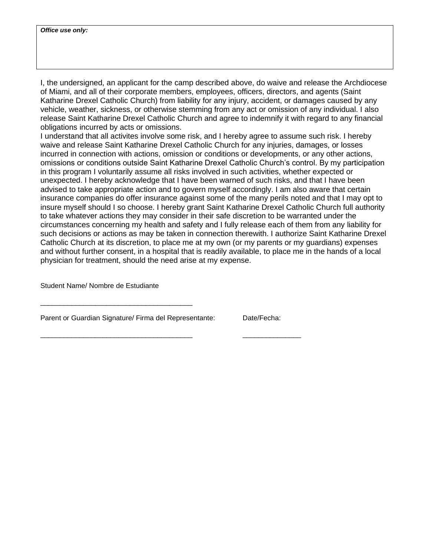I, the undersigned, an applicant for the camp described above, do waive and release the Archdiocese of Miami, and all of their corporate members, employees, officers, directors, and agents (Saint Katharine Drexel Catholic Church) from liability for any injury, accident, or damages caused by any vehicle, weather, sickness, or otherwise stemming from any act or omission of any individual. I also release Saint Katharine Drexel Catholic Church and agree to indemnify it with regard to any financial obligations incurred by acts or omissions.

I understand that all activites involve some risk, and I hereby agree to assume such risk. I hereby waive and release Saint Katharine Drexel Catholic Church for any injuries, damages, or losses incurred in connection with actions, omission or conditions or developments, or any other actions, omissions or conditions outside Saint Katharine Drexel Catholic Church's control. By my participation in this program I voluntarily assume all risks involved in such activities, whether expected or unexpected. I hereby acknowledge that I have been warned of such risks, and that I have been advised to take appropriate action and to govern myself accordingly. I am also aware that certain insurance companies do offer insurance against some of the many perils noted and that I may opt to insure myself should I so choose. I hereby grant Saint Katharine Drexel Catholic Church full authority to take whatever actions they may consider in their safe discretion to be warranted under the circumstances concerning my health and safety and I fully release each of them from any liability for such decisions or actions as may be taken in connection therewith. I authorize Saint Katharine Drexel Catholic Church at its discretion, to place me at my own (or my parents or my guardians) expenses and without further consent, in a hospital that is readily available, to place me in the hands of a local physician for treatment, should the need arise at my expense.

Student Name/ Nombre de Estudiante

Parent or Guardian Signature/ Firma del Representante: Date/Fecha:

\_\_\_\_\_\_\_\_\_\_\_\_\_\_\_\_\_\_\_\_\_\_\_\_\_\_\_\_\_\_\_\_\_\_\_\_\_\_\_ \_\_\_\_\_\_\_\_\_\_\_\_\_\_\_

\_\_\_\_\_\_\_\_\_\_\_\_\_\_\_\_\_\_\_\_\_\_\_\_\_\_\_\_\_\_\_\_\_\_\_\_\_\_\_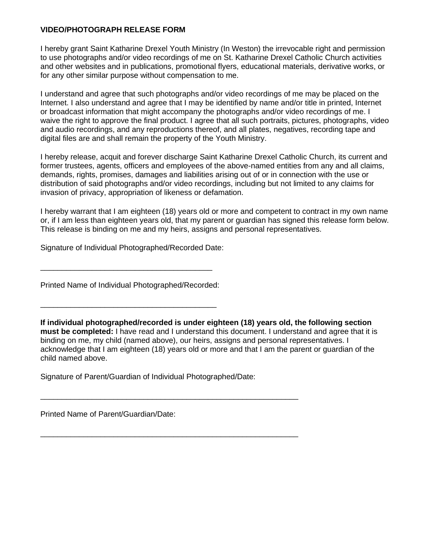## **VIDEO/PHOTOGRAPH RELEASE FORM**

I hereby grant Saint Katharine Drexel Youth Ministry (In Weston) the irrevocable right and permission to use photographs and/or video recordings of me on St. Katharine Drexel Catholic Church activities and other websites and in publications, promotional flyers, educational materials, derivative works, or for any other similar purpose without compensation to me.

I understand and agree that such photographs and/or video recordings of me may be placed on the Internet. I also understand and agree that I may be identified by name and/or title in printed, Internet or broadcast information that might accompany the photographs and/or video recordings of me. I waive the right to approve the final product. I agree that all such portraits, pictures, photographs, video and audio recordings, and any reproductions thereof, and all plates, negatives, recording tape and digital files are and shall remain the property of the Youth Ministry.

I hereby release, acquit and forever discharge Saint Katharine Drexel Catholic Church, its current and former trustees, agents, officers and employees of the above-named entities from any and all claims, demands, rights, promises, damages and liabilities arising out of or in connection with the use or distribution of said photographs and/or video recordings, including but not limited to any claims for invasion of privacy, appropriation of likeness or defamation.

I hereby warrant that I am eighteen (18) years old or more and competent to contract in my own name or, if I am less than eighteen years old, that my parent or guardian has signed this release form below. This release is binding on me and my heirs, assigns and personal representatives.

Signature of Individual Photographed/Recorded Date:

Printed Name of Individual Photographed/Recorded:

\_\_\_\_\_\_\_\_\_\_\_\_\_\_\_\_\_\_\_\_\_\_\_\_\_\_\_\_\_\_\_\_\_\_\_\_\_\_\_\_\_

\_\_\_\_\_\_\_\_\_\_\_\_\_\_\_\_\_\_\_\_\_\_\_\_\_\_\_\_\_\_\_\_\_\_\_\_\_\_\_\_

**If individual photographed/recorded is under eighteen (18) years old, the following section must be completed:** I have read and I understand this document. I understand and agree that it is binding on me, my child (named above), our heirs, assigns and personal representatives. I acknowledge that I am eighteen (18) years old or more and that I am the parent or guardian of the child named above.

Signature of Parent/Guardian of Individual Photographed/Date:

\_\_\_\_\_\_\_\_\_\_\_\_\_\_\_\_\_\_\_\_\_\_\_\_\_\_\_\_\_\_\_\_\_\_\_\_\_\_\_\_\_\_\_\_\_\_\_\_\_\_\_\_\_\_\_\_\_\_\_\_

\_\_\_\_\_\_\_\_\_\_\_\_\_\_\_\_\_\_\_\_\_\_\_\_\_\_\_\_\_\_\_\_\_\_\_\_\_\_\_\_\_\_\_\_\_\_\_\_\_\_\_\_\_\_\_\_\_\_\_\_

Printed Name of Parent/Guardian/Date: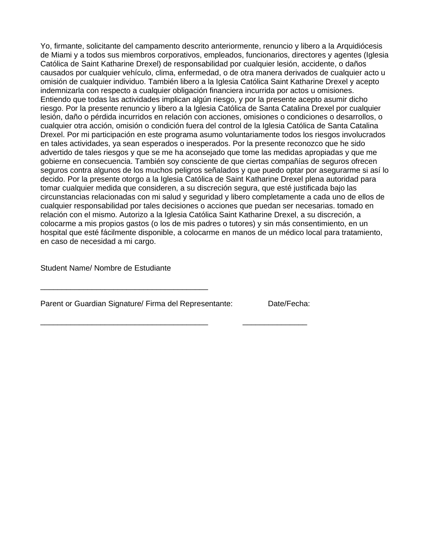Yo, firmante, solicitante del campamento descrito anteriormente, renuncio y libero a la Arquidiócesis de Miami y a todos sus miembros corporativos, empleados, funcionarios, directores y agentes (Iglesia Católica de Saint Katharine Drexel) de responsabilidad por cualquier lesión, accidente, o daños causados por cualquier vehículo, clima, enfermedad, o de otra manera derivados de cualquier acto u omisión de cualquier individuo. También libero a la Iglesia Católica Saint Katharine Drexel y acepto indemnizarla con respecto a cualquier obligación financiera incurrida por actos u omisiones. Entiendo que todas las actividades implican algún riesgo, y por la presente acepto asumir dicho riesgo. Por la presente renuncio y libero a la Iglesia Católica de Santa Catalina Drexel por cualquier lesión, daño o pérdida incurridos en relación con acciones, omisiones o condiciones o desarrollos, o cualquier otra acción, omisión o condición fuera del control de la Iglesia Católica de Santa Catalina Drexel. Por mi participación en este programa asumo voluntariamente todos los riesgos involucrados en tales actividades, ya sean esperados o inesperados. Por la presente reconozco que he sido advertido de tales riesgos y que se me ha aconsejado que tome las medidas apropiadas y que me gobierne en consecuencia. También soy consciente de que ciertas compañías de seguros ofrecen seguros contra algunos de los muchos peligros señalados y que puedo optar por asegurarme si así lo decido. Por la presente otorgo a la Iglesia Católica de Saint Katharine Drexel plena autoridad para tomar cualquier medida que consideren, a su discreción segura, que esté justificada bajo las circunstancias relacionadas con mi salud y seguridad y libero completamente a cada uno de ellos de cualquier responsabilidad por tales decisiones o acciones que puedan ser necesarias. tomado en relación con el mismo. Autorizo a la Iglesia Católica Saint Katharine Drexel, a su discreción, a colocarme a mis propios gastos (o los de mis padres o tutores) y sin más consentimiento, en un hospital que esté fácilmente disponible, a colocarme en manos de un médico local para tratamiento, en caso de necesidad a mi cargo.

Student Name/ Nombre de Estudiante

Parent or Guardian Signature/ Firma del Representante: Date/Fecha:

\_\_\_\_\_\_\_\_\_\_\_\_\_\_\_\_\_\_\_\_\_\_\_\_\_\_\_\_\_\_\_\_\_\_\_\_\_\_\_ \_\_\_\_\_\_\_\_\_\_\_\_\_\_\_

\_\_\_\_\_\_\_\_\_\_\_\_\_\_\_\_\_\_\_\_\_\_\_\_\_\_\_\_\_\_\_\_\_\_\_\_\_\_\_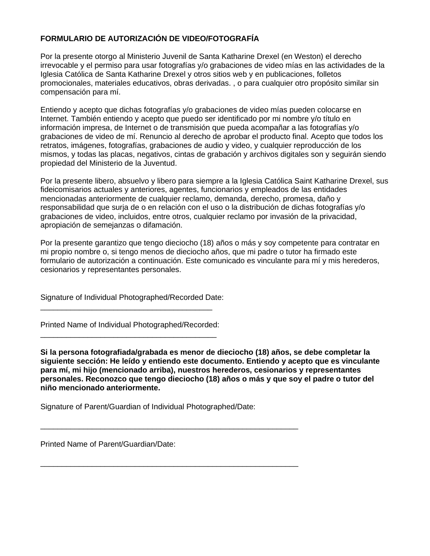## **FORMULARIO DE AUTORIZACIÓN DE VIDEO/FOTOGRAFÍA**

Por la presente otorgo al Ministerio Juvenil de Santa Katharine Drexel (en Weston) el derecho irrevocable y el permiso para usar fotografías y/o grabaciones de video mías en las actividades de la Iglesia Católica de Santa Katharine Drexel y otros sitios web y en publicaciones, folletos promocionales, materiales educativos, obras derivadas. , o para cualquier otro propósito similar sin compensación para mí.

Entiendo y acepto que dichas fotografías y/o grabaciones de video mías pueden colocarse en Internet. También entiendo y acepto que puedo ser identificado por mi nombre y/o título en información impresa, de Internet o de transmisión que pueda acompañar a las fotografías y/o grabaciones de video de mí. Renuncio al derecho de aprobar el producto final. Acepto que todos los retratos, imágenes, fotografías, grabaciones de audio y video, y cualquier reproducción de los mismos, y todas las placas, negativos, cintas de grabación y archivos digitales son y seguirán siendo propiedad del Ministerio de la Juventud.

Por la presente libero, absuelvo y libero para siempre a la Iglesia Católica Saint Katharine Drexel, sus fideicomisarios actuales y anteriores, agentes, funcionarios y empleados de las entidades mencionadas anteriormente de cualquier reclamo, demanda, derecho, promesa, daño y responsabilidad que surja de o en relación con el uso o la distribución de dichas fotografías y/o grabaciones de video, incluidos, entre otros, cualquier reclamo por invasión de la privacidad, apropiación de semejanzas o difamación.

Por la presente garantizo que tengo dieciocho (18) años o más y soy competente para contratar en mi propio nombre o, si tengo menos de dieciocho años, que mi padre o tutor ha firmado este formulario de autorización a continuación. Este comunicado es vinculante para mí y mis herederos, cesionarios y representantes personales.

Signature of Individual Photographed/Recorded Date:

Printed Name of Individual Photographed/Recorded: \_\_\_\_\_\_\_\_\_\_\_\_\_\_\_\_\_\_\_\_\_\_\_\_\_\_\_\_\_\_\_\_\_\_\_\_\_\_\_\_\_

\_\_\_\_\_\_\_\_\_\_\_\_\_\_\_\_\_\_\_\_\_\_\_\_\_\_\_\_\_\_\_\_\_\_\_\_\_\_\_\_

**Si la persona fotografiada/grabada es menor de dieciocho (18) años, se debe completar la siguiente sección: He leído y entiendo este documento. Entiendo y acepto que es vinculante para mí, mi hijo (mencionado arriba), nuestros herederos, cesionarios y representantes personales. Reconozco que tengo dieciocho (18) años o más y que soy el padre o tutor del niño mencionado anteriormente.**

Signature of Parent/Guardian of Individual Photographed/Date:

\_\_\_\_\_\_\_\_\_\_\_\_\_\_\_\_\_\_\_\_\_\_\_\_\_\_\_\_\_\_\_\_\_\_\_\_\_\_\_\_\_\_\_\_\_\_\_\_\_\_\_\_\_\_\_\_\_\_\_\_

\_\_\_\_\_\_\_\_\_\_\_\_\_\_\_\_\_\_\_\_\_\_\_\_\_\_\_\_\_\_\_\_\_\_\_\_\_\_\_\_\_\_\_\_\_\_\_\_\_\_\_\_\_\_\_\_\_\_\_\_

Printed Name of Parent/Guardian/Date: